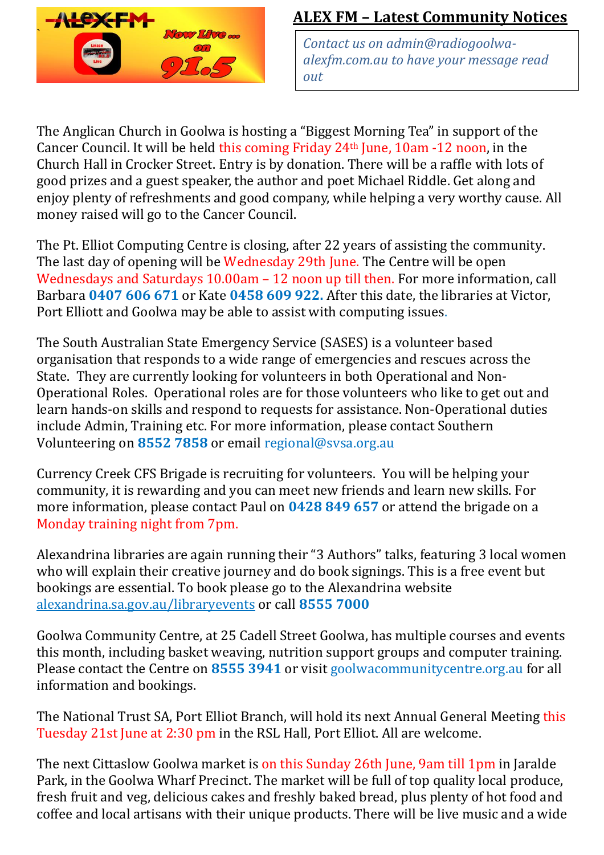

## **ALEX FM – Latest Community Notices**

*Contact us on [admin@radiogoolwa](mailto:admin@radiogoolwa-alexfm.com.au)[alexfm.com.au](mailto:admin@radiogoolwa-alexfm.com.au) to have your message read out*

The Anglican Church in Goolwa is hosting a "Biggest Morning Tea" in support of the Cancer Council. It will be held this coming Friday 24th June, 10am -12 noon, in the Church Hall in Crocker Street. Entry is by donation. There will be a raffle with lots of good prizes and a guest speaker, the author and poet Michael Riddle. Get along and enjoy plenty of refreshments and good company, while helping a very worthy cause. All money raised will go to the Cancer Council.

The Pt. Elliot Computing Centre is closing, after 22 years of assisting the community. The last day of opening will be Wednesday 29th June. The Centre will be open Wednesdays and Saturdays 10.00am – 12 noon up till then. For more information, call Barbara **0407 606 671** or Kate **0458 609 922.** After this date, the libraries at Victor, Port Elliott and Goolwa may be able to assist with computing issues.

The South Australian State Emergency Service (SASES) is a volunteer based organisation that responds to a wide range of emergencies and rescues across the State. They are currently looking for volunteers in both Operational and Non-Operational Roles. Operational roles are for those volunteers who like to get out and learn hands-on skills and respond to requests for assistance. Non-Operational duties include Admin, Training etc. For more information, please contact Southern Volunteering on **8552 7858** or email [regional@svsa.org.au](mailto:regional@svsa.org.au)

Currency Creek CFS Brigade is recruiting for volunteers. You will be helping your community, it is rewarding and you can meet new friends and learn new skills. For more information, please contact Paul on **0428 849 657** or attend the brigade on a Monday training night from 7pm.

Alexandrina libraries are again running their "3 Authors" talks, featuring 3 local women who will explain their creative journey and do book signings. This is a free event but bookings are essential. To book please go to the Alexandrina website [alexandrina.sa.gov.au/libraryevents](http://www.alexandrina.sa.gov.au/libraryevents) or call **8555 7000**

Goolwa Community Centre, at 25 Cadell Street Goolwa, has multiple courses and events this month, including basket weaving, nutrition support groups and computer training. Please contact the Centre on **8555 3941** or visit goolwacommunitycentre.org.au for all information and bookings.

The National Trust SA, Port Elliot Branch, will hold its next Annual General Meeting this Tuesday 21st June at 2:30 pm in the RSL Hall, Port Elliot. All are welcome.

The next Cittaslow Goolwa market is on this Sunday 26th June, 9am till 1pm in Jaralde Park, in the Goolwa Wharf Precinct. The market will be full of top quality local produce, fresh fruit and veg, delicious cakes and freshly baked bread, plus plenty of hot food and coffee and local artisans with their unique products. There will be live music and a wide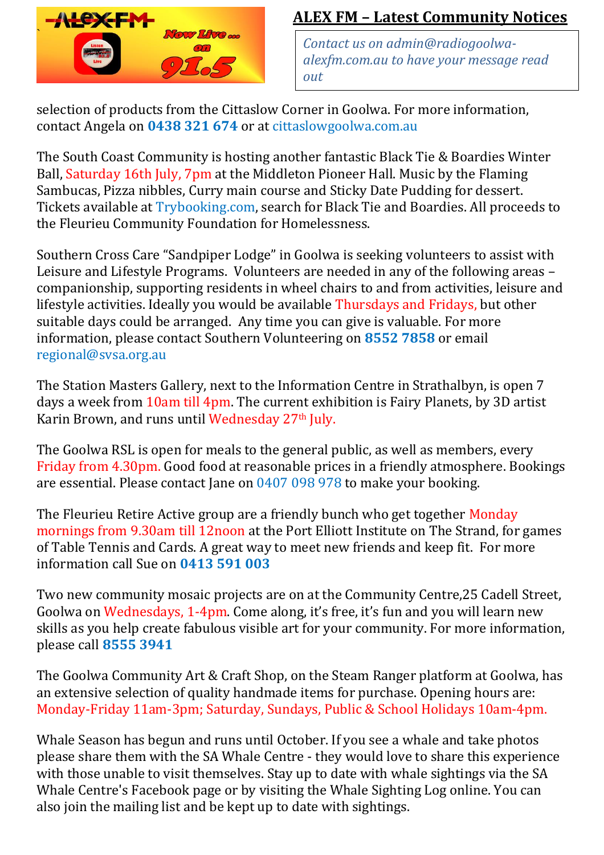

## **ALEX FM – Latest Community Notices**

*Contact us on [admin@radiogoolwa](mailto:admin@radiogoolwa-alexfm.com.au)[alexfm.com.au](mailto:admin@radiogoolwa-alexfm.com.au) to have your message read out*

selection of products from the Cittaslow Corner in Goolwa. For more information, contact Angela on **0438 321 674** or at cittaslowgoolwa.com.au

The South Coast Community is hosting another fantastic Black Tie & Boardies Winter Ball, Saturday 16th July, 7pm at the Middleton Pioneer Hall. Music by the Flaming Sambucas, Pizza nibbles, Curry main course and Sticky Date Pudding for dessert. Tickets available at Trybooking.com, search for Black Tie and Boardies. All proceeds to the Fleurieu Community Foundation for Homelessness.

Southern Cross Care "Sandpiper Lodge" in Goolwa is seeking volunteers to assist with Leisure and Lifestyle Programs. Volunteers are needed in any of the following areas – companionship, supporting residents in wheel chairs to and from activities, leisure and lifestyle activities. Ideally you would be available Thursdays and Fridays, but other suitable days could be arranged. Any time you can give is valuable. For more information, please contact Southern Volunteering on **8552 7858** or email [regional@svsa.org.au](mailto:regional@svsa.org.au)

The Station Masters Gallery, next to the Information Centre in Strathalbyn, is open 7 days a week from 10am till 4pm. The current exhibition is Fairy Planets, by 3D artist Karin Brown, and runs until Wednesday 27<sup>th</sup> July.

The Goolwa RSL is open for meals to the general public, as well as members, every Friday from 4.30pm. Good food at reasonable prices in a friendly atmosphere. Bookings are essential. Please contact Jane on 0407 098 978 to make your booking.

The Fleurieu Retire Active group are a friendly bunch who get together Monday mornings from 9.30am till 12noon at the Port Elliott Institute on The Strand, for games of Table Tennis and Cards. A great way to meet new friends and keep fit. For more information call Sue on **0413 591 003** 

Two new community mosaic projects are on at the Community Centre,25 Cadell Street, Goolwa on Wednesdays, 1-4pm. Come along, it's free, it's fun and you will learn new skills as you help create fabulous visible art for your community. For more information, please call **8555 3941**

The Goolwa Community Art & Craft Shop, on the Steam Ranger platform at Goolwa, has an extensive selection of quality handmade items for purchase. Opening hours are: Monday-Friday 11am-3pm; Saturday, Sundays, Public & School Holidays 10am-4pm.

Whale Season has begun and runs until October. If you see a whale and take photos please share them with the SA Whale Centre - they would love to share this experience with those unable to visit themselves. Stay up to date with whale sightings via the SA Whale Centre's Facebook page or by visiting the Whale Sighting Log online. You can also join the mailing list and be kept up to date with sightings.